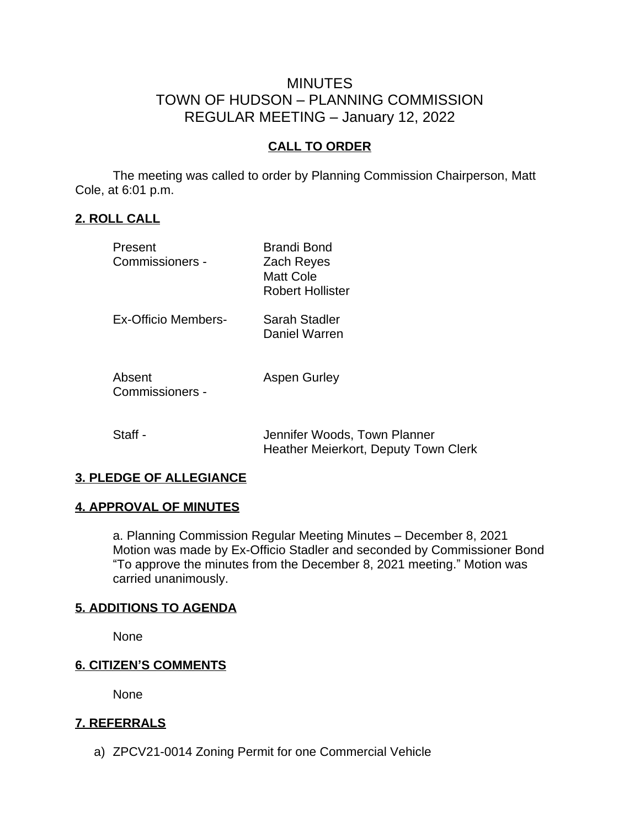# MINUTES TOWN OF HUDSON – PLANNING COMMISSION REGULAR MEETING – January 12, 2022

## **CALL TO ORDER**

The meeting was called to order by Planning Commission Chairperson, Matt Cole, at 6:01 p.m.

## **2. ROLL CALL**

| Present<br>Commissioners - | Brandi Bond<br>Zach Reyes<br><b>Matt Cole</b><br>Robert Hollister |
|----------------------------|-------------------------------------------------------------------|
| Ex-Officio Members-        | Sarah Stadler<br>Daniel Warren                                    |
| Absent<br>Commissioners -  | <b>Aspen Gurley</b>                                               |

Staff - Staff - Jennifer Woods, Town Planner Heather Meierkort, Deputy Town Clerk

#### **3. PLEDGE OF ALLEGIANCE**

#### **4. APPROVAL OF MINUTES**

a. Planning Commission Regular Meeting Minutes – December 8, 2021 Motion was made by Ex-Officio Stadler and seconded by Commissioner Bond "To approve the minutes from the December 8, 2021 meeting." Motion was carried unanimously.

#### **5. ADDITIONS TO AGENDA**

None

#### **6. CITIZEN'S COMMENTS**

None

#### **7. REFERRALS**

a) ZPCV21-0014 Zoning Permit for one Commercial Vehicle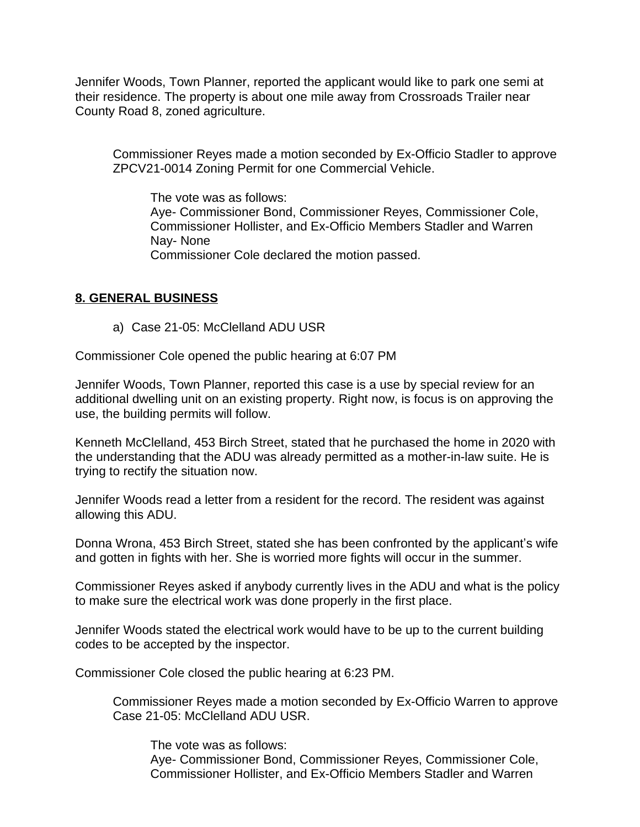Jennifer Woods, Town Planner, reported the applicant would like to park one semi at their residence. The property is about one mile away from Crossroads Trailer near County Road 8, zoned agriculture.

Commissioner Reyes made a motion seconded by Ex-Officio Stadler to approve ZPCV21-0014 Zoning Permit for one Commercial Vehicle.

The vote was as follows: Aye- Commissioner Bond, Commissioner Reyes, Commissioner Cole, Commissioner Hollister, and Ex-Officio Members Stadler and Warren Nay- None Commissioner Cole declared the motion passed.

## **8. GENERAL BUSINESS**

a) Case 21-05: McClelland ADU USR

Commissioner Cole opened the public hearing at 6:07 PM

Jennifer Woods, Town Planner, reported this case is a use by special review for an additional dwelling unit on an existing property. Right now, is focus is on approving the use, the building permits will follow.

Kenneth McClelland, 453 Birch Street, stated that he purchased the home in 2020 with the understanding that the ADU was already permitted as a mother-in-law suite. He is trying to rectify the situation now.

Jennifer Woods read a letter from a resident for the record. The resident was against allowing this ADU.

Donna Wrona, 453 Birch Street, stated she has been confronted by the applicant's wife and gotten in fights with her. She is worried more fights will occur in the summer.

Commissioner Reyes asked if anybody currently lives in the ADU and what is the policy to make sure the electrical work was done properly in the first place.

Jennifer Woods stated the electrical work would have to be up to the current building codes to be accepted by the inspector.

Commissioner Cole closed the public hearing at 6:23 PM.

Commissioner Reyes made a motion seconded by Ex-Officio Warren to approve Case 21-05: McClelland ADU USR.

The vote was as follows: Aye- Commissioner Bond, Commissioner Reyes, Commissioner Cole, Commissioner Hollister, and Ex-Officio Members Stadler and Warren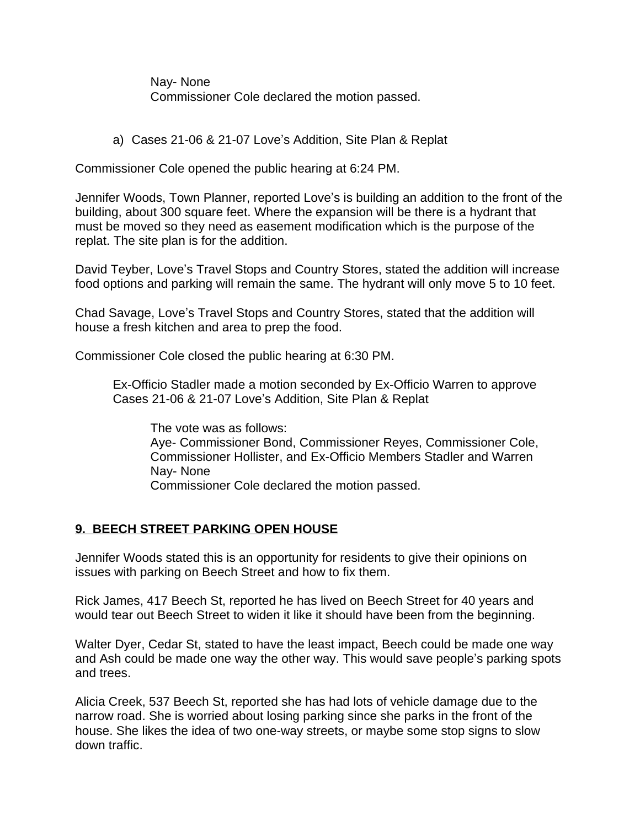Nay- None Commissioner Cole declared the motion passed.

a) Cases 21-06 & 21-07 Love's Addition, Site Plan & Replat

Commissioner Cole opened the public hearing at 6:24 PM.

Jennifer Woods, Town Planner, reported Love's is building an addition to the front of the building, about 300 square feet. Where the expansion will be there is a hydrant that must be moved so they need as easement modification which is the purpose of the replat. The site plan is for the addition.

David Teyber, Love's Travel Stops and Country Stores, stated the addition will increase food options and parking will remain the same. The hydrant will only move 5 to 10 feet.

Chad Savage, Love's Travel Stops and Country Stores, stated that the addition will house a fresh kitchen and area to prep the food.

Commissioner Cole closed the public hearing at 6:30 PM.

Ex-Officio Stadler made a motion seconded by Ex-Officio Warren to approve Cases 21-06 & 21-07 Love's Addition, Site Plan & Replat

The vote was as follows: Aye- Commissioner Bond, Commissioner Reyes, Commissioner Cole, Commissioner Hollister, and Ex-Officio Members Stadler and Warren Nay- None Commissioner Cole declared the motion passed.

# **9. BEECH STREET PARKING OPEN HOUSE**

Jennifer Woods stated this is an opportunity for residents to give their opinions on issues with parking on Beech Street and how to fix them.

Rick James, 417 Beech St, reported he has lived on Beech Street for 40 years and would tear out Beech Street to widen it like it should have been from the beginning.

Walter Dyer, Cedar St, stated to have the least impact, Beech could be made one way and Ash could be made one way the other way. This would save people's parking spots and trees.

Alicia Creek, 537 Beech St, reported she has had lots of vehicle damage due to the narrow road. She is worried about losing parking since she parks in the front of the house. She likes the idea of two one-way streets, or maybe some stop signs to slow down traffic.